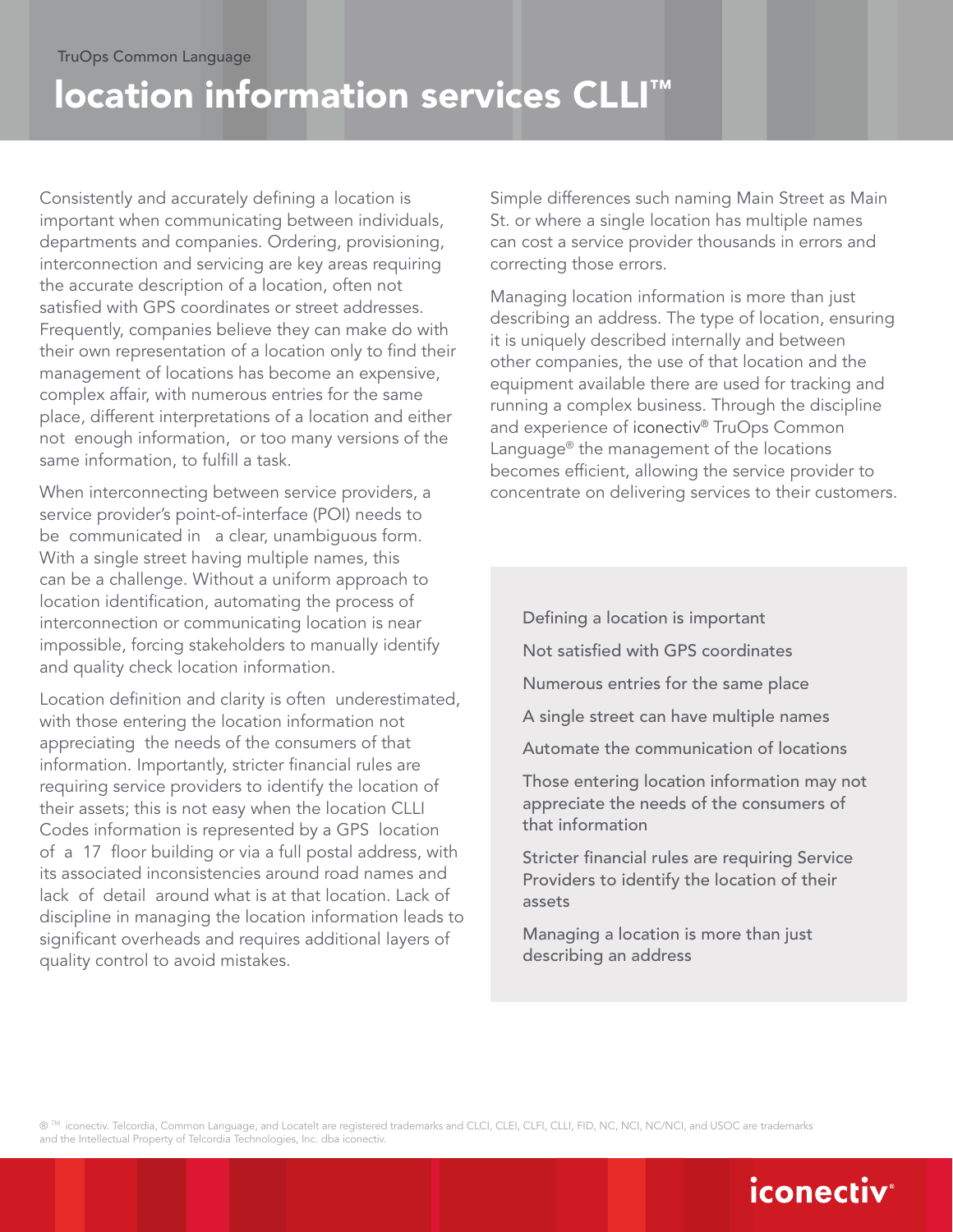# location information services CLLI™

Consistently and accurately defining a location is important when communicating between individuals, departments and companies. Ordering, provisioning, interconnection and servicing are key areas requiring the accurate description of a location, often not satisfied with GPS coordinates or street addresses. Frequently, companies believe they can make do with their own representation of a location only to find their management of locations has become an expensive, complex affair, with numerous entries for the same place, different interpretations of a location and either not enough information, or too many versions of the same information, to fulfill a task.

When interconnecting between service providers, a service provider's point-of-interface (POI) needs to be communicated in a clear, unambiguous form. With a single street having multiple names, this can be a challenge. Without a uniform approach to location identification, automating the process of interconnection or communicating location is near impossible, forcing stakeholders to manually identify and quality check location information.

Location definition and clarity is often underestimated, with those entering the location information not appreciating the needs of the consumers of that information. Importantly, stricter financial rules are requiring service providers to identify the location of their assets; this is not easy when the location CLLI Codes information is represented by a GPS location of a 17 floor building or via a full postal address, with its associated inconsistencies around road names and lack of detail around what is at that location. Lack of discipline in managing the location information leads to significant overheads and requires additional layers of quality control to avoid mistakes.

Simple differences such naming Main Street as Main St. or where a single location has multiple names can cost a service provider thousands in errors and correcting those errors.

Managing location information is more than just describing an address. The type of location, ensuring it is uniquely described internally and between other companies, the use of that location and the equipment available there are used for tracking and running a complex business. Through the discipline and experience of iconectiv® TruOps Common Language® the management of the locations becomes efficient, allowing the service provider to concentrate on delivering services to their customers.

- Defining a location is important
- Not satisfied with GPS coordinates
- Numerous entries for the same place
- A single street can have multiple names
- Automate the communication of locations

Those entering location information may not appreciate the needs of the consumers of that information

Stricter financial rules are requiring Service Providers to identify the location of their assets

Managing a location is more than just describing an address

® ™ iconectiv. Telcordia, Common Language, and Locatelt are registered trademarks and CLCI, CLEI, CLFI, CLLI, FID, NC, NCI, NC/NCI, and USOC are trademarks and the Intellectual Property of Telcordia Technologies, Inc. dba iconectiv.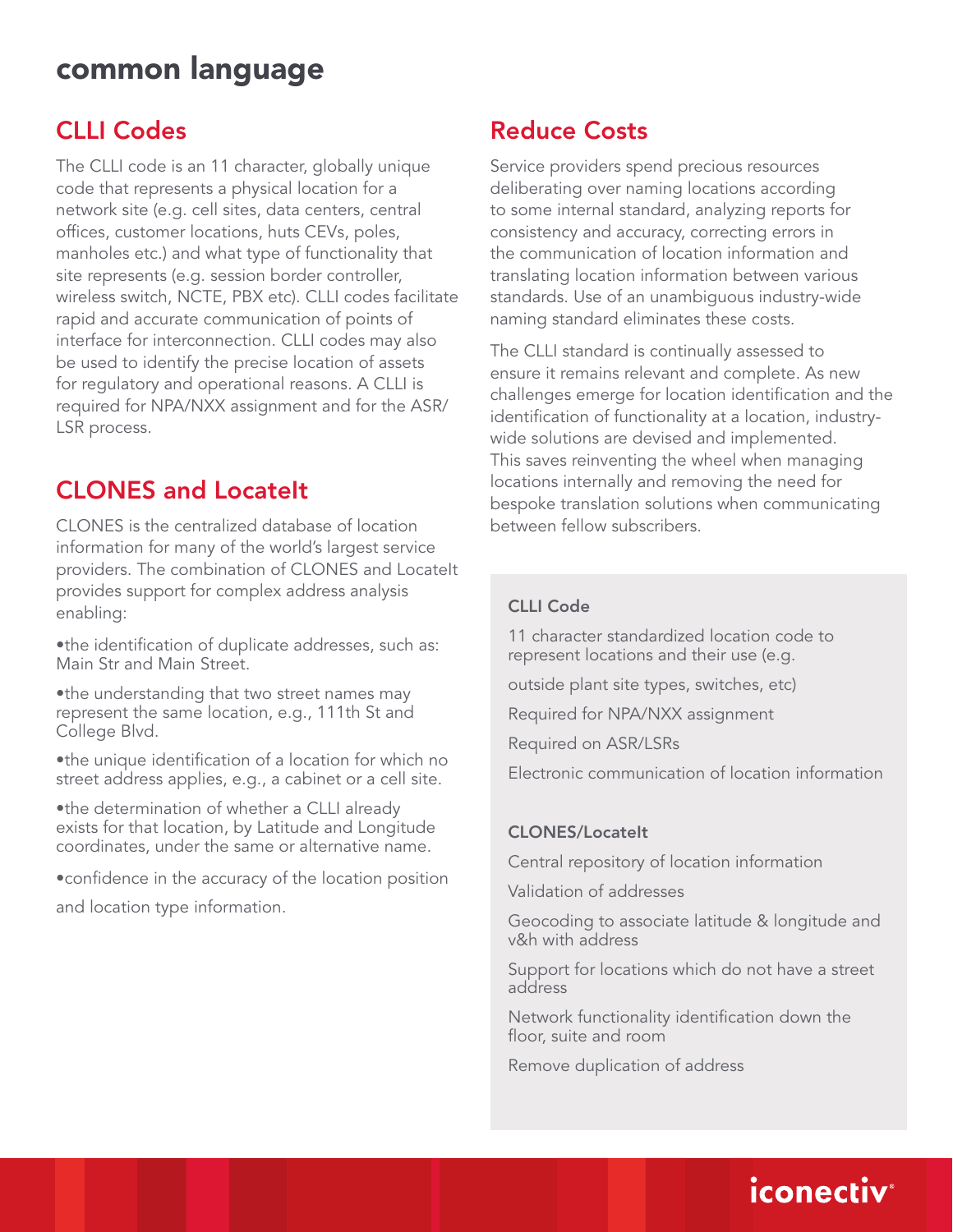### CLLI Codes

The CLLI code is an 11 character, globally unique code that represents a physical location for a network site (e.g. cell sites, data centers, central offices, customer locations, huts CEVs, poles, manholes etc.) and what type of functionality that site represents (e.g. session border controller, wireless switch, NCTE, PBX etc). CLLI codes facilitate rapid and accurate communication of points of interface for interconnection. CLLI codes may also be used to identify the precise location of assets for regulatory and operational reasons. A CLLI is required for NPA/NXX assignment and for the ASR/ LSR process.

### CLONES and LocateIt

CLONES is the centralized database of location information for many of the world's largest service providers. The combination of CLONES and LocateIt provides support for complex address analysis enabling:

•the identification of duplicate addresses, such as: Main Str and Main Street.

•the understanding that two street names may represent the same location, e.g., 111th St and College Blvd.

•the unique identification of a location for which no street address applies, e.g., a cabinet or a cell site.

•the determination of whether a CLLI already exists for that location, by Latitude and Longitude coordinates, under the same or alternative name.

•confidence in the accuracy of the location position and location type information.

### Reduce Costs

Service providers spend precious resources deliberating over naming locations according to some internal standard, analyzing reports for consistency and accuracy, correcting errors in the communication of location information and translating location information between various standards. Use of an unambiguous industry-wide naming standard eliminates these costs.

The CLLI standard is continually assessed to ensure it remains relevant and complete. As new challenges emerge for location identification and the identification of functionality at a location, industrywide solutions are devised and implemented. This saves reinventing the wheel when managing locations internally and removing the need for bespoke translation solutions when communicating between fellow subscribers.

#### CLLI Code

11 character standardized location code to represent locations and their use (e.g.

outside plant site types, switches, etc)

Required for NPA/NXX assignment

Required on ASR/LSRs

Electronic communication of location information

#### CLONES/LocateIt

Central repository of location information

Validation of addresses

Geocoding to associate latitude & longitude and v&h with address

Support for locations which do not have a street address

Network functionality identification down the floor, suite and room

Remove duplication of address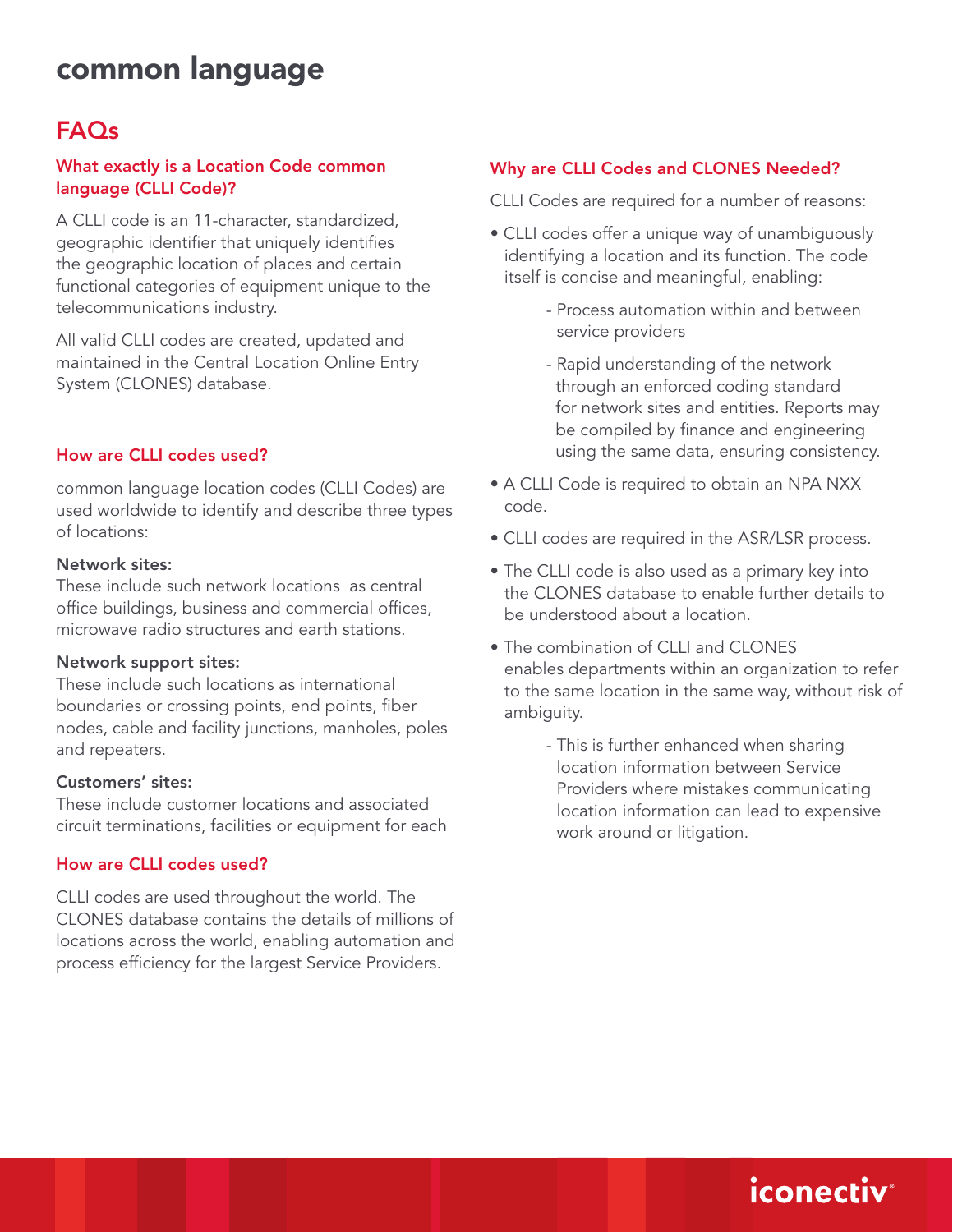## FAQs

#### What exactly is a Location Code common language (CLLI Code)?

A CLLI code is an 11-character, standardized, geographic identifier that uniquely identifies the geographic location of places and certain functional categories of equipment unique to the telecommunications industry.

All valid CLLI codes are created, updated and maintained in the Central Location Online Entry System (CLONES) database.

#### How are CLLI codes used?

common language location codes (CLLI Codes) are used worldwide to identify and describe three types of locations:

#### Network sites:

These include such network locations as central office buildings, business and commercial offices, microwave radio structures and earth stations.

#### Network support sites:

These include such locations as international boundaries or crossing points, end points, fiber nodes, cable and facility junctions, manholes, poles and repeaters.

#### Customers' sites:

These include customer locations and associated circuit terminations, facilities or equipment for each

#### How are CLLI codes used?

CLLI codes are used throughout the world. The CLONES database contains the details of millions of locations across the world, enabling automation and process efficiency for the largest Service Providers.

#### Why are CLLI Codes and CLONES Needed?

CLLI Codes are required for a number of reasons:

- CLLI codes offer a unique way of unambiguously identifying a location and its function. The code itself is concise and meaningful, enabling:
	- Process automation within and between service providers
	- Rapid understanding of the network through an enforced coding standard for network sites and entities. Reports may be compiled by finance and engineering using the same data, ensuring consistency.
- A CLLI Code is required to obtain an NPA NXX code.
- CLLI codes are required in the ASR/LSR process.
- The CLLI code is also used as a primary key into the CLONES database to enable further details to be understood about a location.
- The combination of CLLI and CLONES enables departments within an organization to refer to the same location in the same way, without risk of ambiguity.
	- This is further enhanced when sharing location information between Service Providers where mistakes communicating location information can lead to expensive work around or litigation.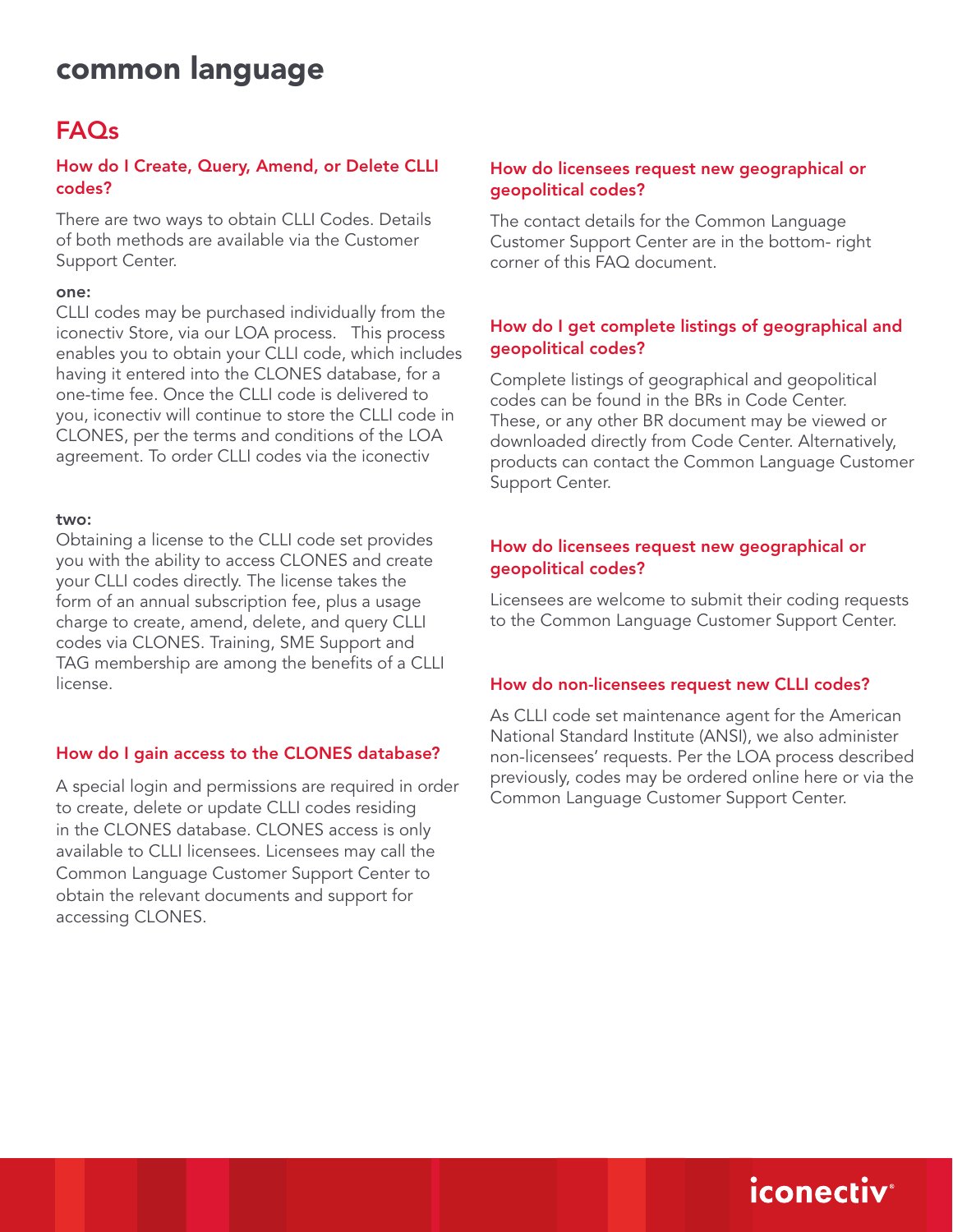## FAQs

#### How do I Create, Query, Amend, or Delete CLLI codes?

There are two ways to obtain CLLI Codes. Details of both methods are available via the Customer Support Center.

#### one:

CLLI codes may be purchased individually from the iconectiv Store, via our LOA process. This process enables you to obtain your CLLI code, which includes having it entered into the CLONES database, for a one-time fee. Once the CLLI code is delivered to you, iconectiv will continue to store the CLLI code in CLONES, per the terms and conditions of the LOA agreement. To order CLLI codes via the iconectiv

#### two:

Obtaining a license to the CLLI code set provides you with the ability to access CLONES and create your CLLI codes directly. The license takes the form of an annual subscription fee, plus a usage charge to create, amend, delete, and query CLLI codes via CLONES. Training, SME Support and TAG membership are among the benefits of a CLLI license.

#### How do I gain access to the CLONES database?

A special login and permissions are required in order to create, delete or update CLLI codes residing in the CLONES database. CLONES access is only available to CLLI licensees. Licensees may call the Common Language Customer Support Center to obtain the relevant documents and support for accessing CLONES.

#### How do licensees request new geographical or geopolitical codes?

The contact details for the Common Language Customer Support Center are in the bottom- right corner of this FAQ document.

#### How do I get complete listings of geographical and geopolitical codes?

Complete listings of geographical and geopolitical codes can be found in the BRs in Code Center. These, or any other BR document may be viewed or downloaded directly from Code Center. Alternatively, products can contact the Common Language Customer Support Center.

#### How do licensees request new geographical or geopolitical codes?

Licensees are welcome to submit their coding requests to the Common Language Customer Support Center.

#### How do non-licensees request new CLLI codes?

As CLLI code set maintenance agent for the American National Standard Institute (ANSI), we also administer non-licensees' requests. Per the LOA process described previously, codes may be ordered online here or via the Common Language Customer Support Center.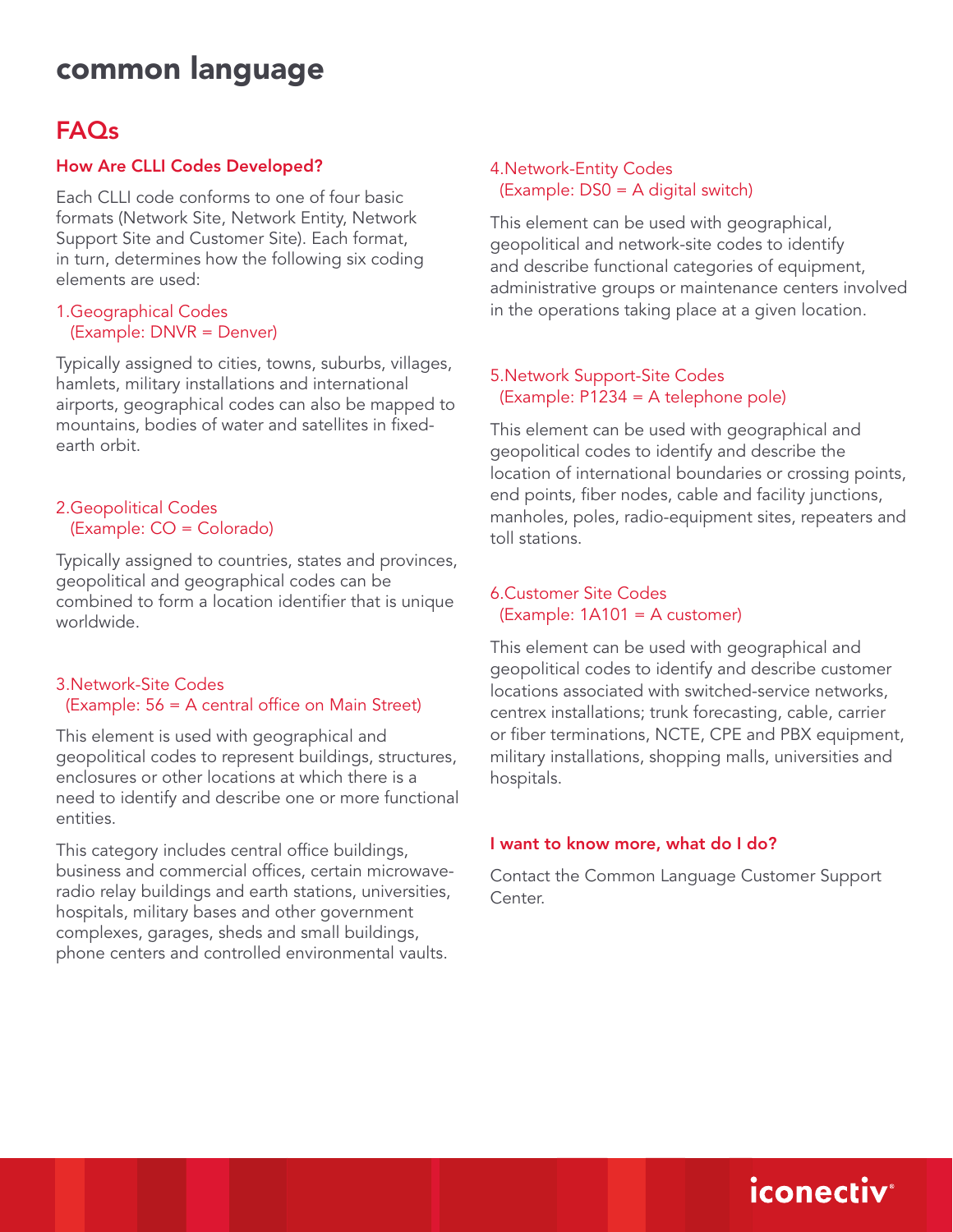## FAQs

#### How Are CLLI Codes Developed?

Each CLLI code conforms to one of four basic formats (Network Site, Network Entity, Network Support Site and Customer Site). Each format, in turn, determines how the following six coding elements are used:

#### 1.Geographical Codes (Example: DNVR = Denver)

Typically assigned to cities, towns, suburbs, villages, hamlets, military installations and international airports, geographical codes can also be mapped to mountains, bodies of water and satellites in fixedearth orbit.

#### 2.Geopolitical Codes (Example: CO = Colorado)

Typically assigned to countries, states and provinces, geopolitical and geographical codes can be combined to form a location identifier that is unique worldwide.

#### 3.Network-Site Codes (Example: 56 = A central office on Main Street)

This element is used with geographical and geopolitical codes to represent buildings, structures, enclosures or other locations at which there is a need to identify and describe one or more functional entities.

This category includes central office buildings, business and commercial offices, certain microwaveradio relay buildings and earth stations, universities, hospitals, military bases and other government complexes, garages, sheds and small buildings, phone centers and controlled environmental vaults.

#### 4.Network-Entity Codes (Example: DS0 = A digital switch)

This element can be used with geographical, geopolitical and network-site codes to identify and describe functional categories of equipment, administrative groups or maintenance centers involved in the operations taking place at a given location.

#### 5.Network Support-Site Codes (Example: P1234 = A telephone pole)

This element can be used with geographical and geopolitical codes to identify and describe the location of international boundaries or crossing points, end points, fiber nodes, cable and facility junctions, manholes, poles, radio-equipment sites, repeaters and toll stations.

#### 6.Customer Site Codes (Example: 1A101 = A customer)

This element can be used with geographical and geopolitical codes to identify and describe customer locations associated with switched-service networks, centrex installations; trunk forecasting, cable, carrier or fiber terminations, NCTE, CPE and PBX equipment, military installations, shopping malls, universities and hospitals.

#### I want to know more, what do I do?

Contact the Common Language Customer Support Center.